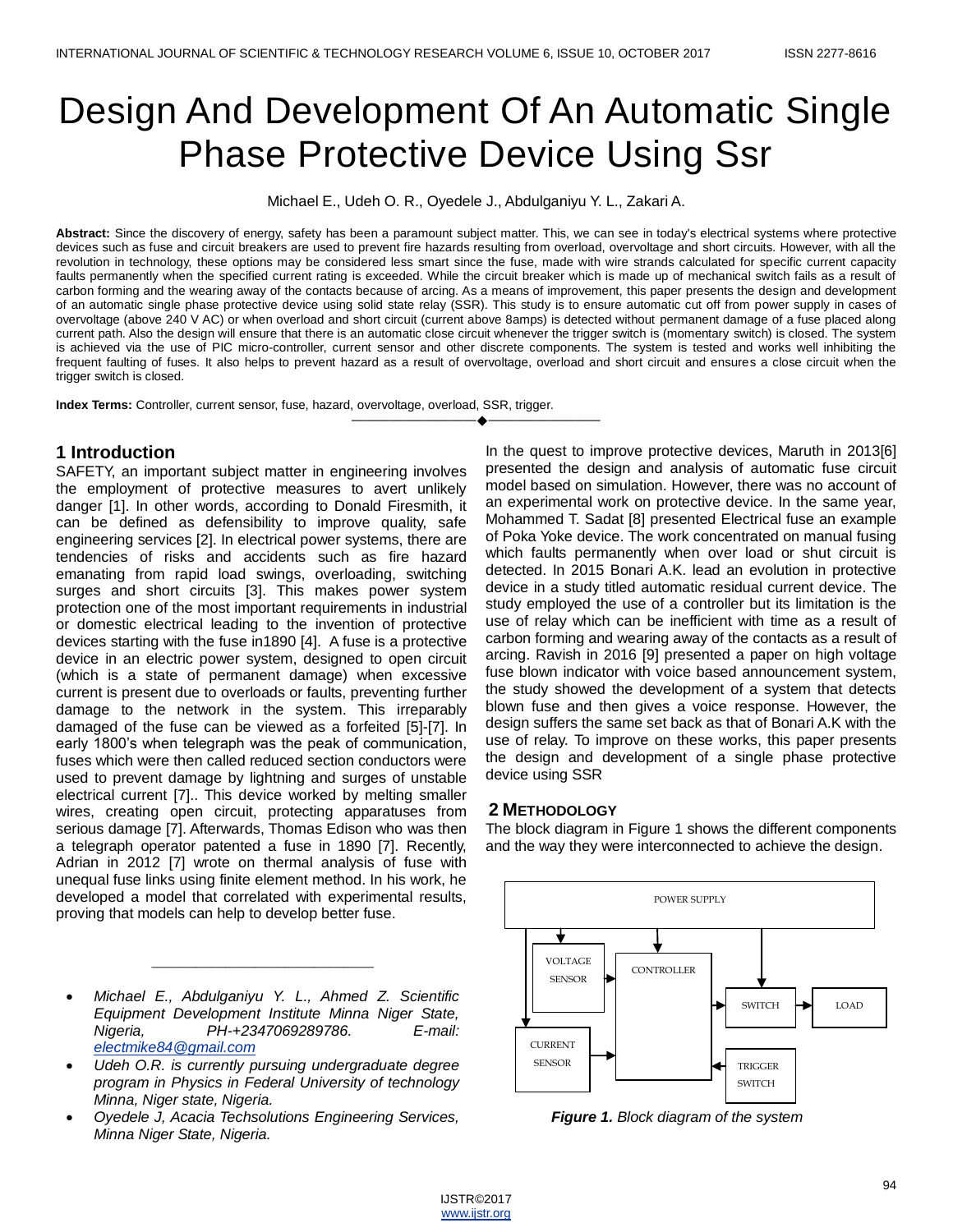# Design And Development Of An Automatic Single Phase Protective Device Using Ssr

Michael E., Udeh O. R., Oyedele J., Abdulganiyu Y. L., Zakari A.

**Abstract:** Since the discovery of energy, safety has been a paramount subject matter. This, we can see in today's electrical systems where protective devices such as fuse and circuit breakers are used to prevent fire hazards resulting from overload, overvoltage and short circuits. However, with all the revolution in technology, these options may be considered less smart since the fuse, made with wire strands calculated for specific current capacity faults permanently when the specified current rating is exceeded. While the circuit breaker which is made up of mechanical switch fails as a result of carbon forming and the wearing away of the contacts because of arcing. As a means of improvement, this paper presents the design and development of an automatic single phase protective device using solid state relay (SSR). This study is to ensure automatic cut off from power supply in cases of overvoltage (above 240 V AC) or when overload and short circuit (current above 8amps) is detected without permanent damage of a fuse placed along current path. Also the design will ensure that there is an automatic close circuit whenever the trigger switch is (momentary switch) is closed. The system is achieved via the use of PIC micro-controller, current sensor and other discrete components. The system is tested and works well inhibiting the frequent faulting of fuses. It also helps to prevent hazard as a result of overvoltage, overload and short circuit and ensures a close circuit when the trigger switch is closed.

———————————————————

**Index Terms:** Controller, current sensor, fuse, hazard, overvoltage, overload, SSR, trigger.

# **1 Introduction**

SAFETY, an important subject matter in engineering involves the employment of protective measures to avert unlikely danger [1]. In other words, according to Donald Firesmith, it can be defined as defensibility to improve quality, safe engineering services [2]. In electrical power systems, there are tendencies of risks and accidents such as fire hazard emanating from rapid load swings, overloading, switching surges and short circuits [3]. This makes power system protection one of the most important requirements in industrial or domestic electrical leading to the invention of protective devices starting with the fuse in1890 [4]. A fuse is a protective device in an electric power system, designed to open circuit (which is a state of permanent damage) when excessive current is present due to overloads or faults, preventing further damage to the network in the system. This irreparably damaged of the fuse can be viewed as a forfeited [5]-[7]. In early 1800's when telegraph was the peak of communication, fuses which were then called reduced section conductors were used to prevent damage by lightning and surges of unstable electrical current [7].. This device worked by melting smaller wires, creating open circuit, protecting apparatuses from serious damage [7]. Afterwards, Thomas Edison who was then a telegraph operator patented a fuse in 1890 [7]. Recently, Adrian in 2012 [7] wrote on thermal analysis of fuse with unequal fuse links using finite element method. In his work, he developed a model that correlated with experimental results, proving that models can help to develop better fuse.

 *Michael E., Abdulganiyu Y. L., Ahmed Z. Scientific Equipment Development Institute Minna Niger State, Nigeria, PH-+2347069289786. E-mail: [electmike84@gmail.com](mailto:electmike84@gmail.com)*

 $\_$ 

- *Udeh O.R. is currently pursuing undergraduate degree program in Physics in Federal University of technology Minna, Niger state, Nigeria.*
- *Oyedele J, Acacia Techsolutions Engineering Services, Minna Niger State, Nigeria.*

In the quest to improve protective devices, Maruth in 2013[6] presented the design and analysis of automatic fuse circuit model based on simulation. However, there was no account of an experimental work on protective device. In the same year, Mohammed T. Sadat [8] presented Electrical fuse an example of Poka Yoke device. The work concentrated on manual fusing which faults permanently when over load or shut circuit is detected. In 2015 Bonari A.K. lead an evolution in protective device in a study titled automatic residual current device. The study employed the use of a controller but its limitation is the use of relay which can be inefficient with time as a result of carbon forming and wearing away of the contacts as a result of arcing. Ravish in 2016 [9] presented a paper on high voltage fuse blown indicator with voice based announcement system, the study showed the development of a system that detects blown fuse and then gives a voice response. However, the design suffers the same set back as that of Bonari A.K with the use of relay. To improve on these works, this paper presents the design and development of a single phase protective device using SSR

# **2 METHODOLOGY**

The block diagram in Figure 1 shows the different components and the way they were interconnected to achieve the design.



*Figure 1. Block diagram of the system*

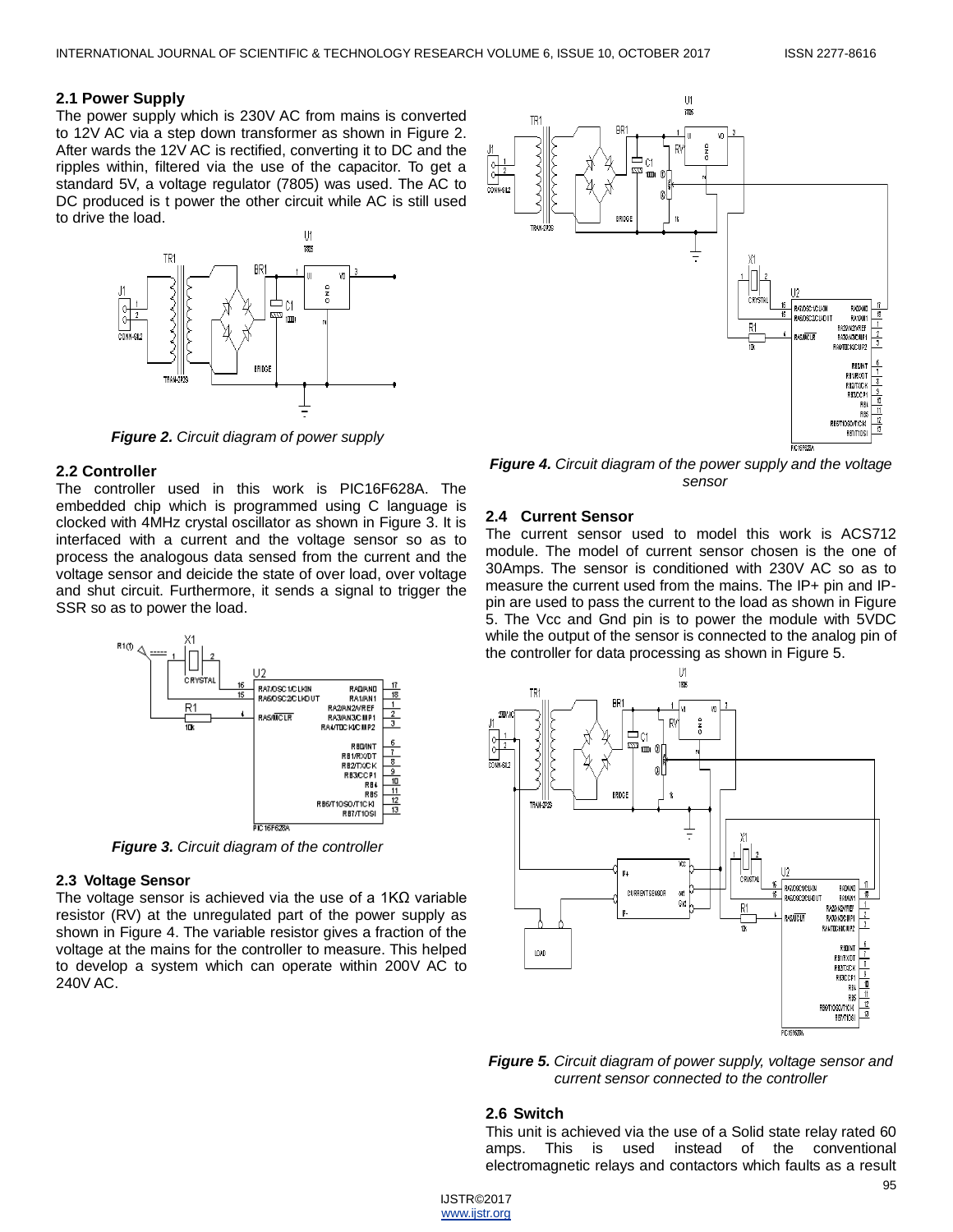## **2.1 Power Supply**

The power supply which is 230V AC from mains is converted to 12V AC via a step down transformer as shown in Figure 2. After wards the 12V AC is rectified, converting it to DC and the ripples within, filtered via the use of the capacitor. To get a standard 5V, a voltage regulator (7805) was used. The AC to DC produced is t power the other circuit while AC is still used to drive the load.



*Figure 2. Circuit diagram of power supply*

# **2.2 Controller**

The controller used in this work is PIC16F628A. The embedded chip which is programmed using C language is clocked with 4MHz crystal oscillator as shown in Figure 3. It is interfaced with a current and the voltage sensor so as to process the analogous data sensed from the current and the voltage sensor and deicide the state of over load, over voltage and shut circuit. Furthermore, it sends a signal to trigger the SSR so as to power the load.



*Figure 3. Circuit diagram of the controller*

# **2.3 Voltage Sensor**

The voltage sensor is achieved via the use of a 1KΩ variable resistor (RV) at the unregulated part of the power supply as shown in Figure 4. The variable resistor gives a fraction of the voltage at the mains for the controller to measure. This helped to develop a system which can operate within 200V AC to 240V AC.



*Figure 4. Circuit diagram of the power supply and the voltage sensor*

## **2.4 Current Sensor**

The current sensor used to model this work is ACS712 module. The model of current sensor chosen is the one of 30Amps. The sensor is conditioned with 230V AC so as to measure the current used from the mains. The IP+ pin and IPpin are used to pass the current to the load as shown in Figure 5. The Vcc and Gnd pin is to power the module with 5VDC while the output of the sensor is connected to the analog pin of the controller for data processing as shown in Figure 5.



*Figure 5. Circuit diagram of power supply, voltage sensor and current sensor connected to the controller*

#### **2.6 Switch**

This unit is achieved via the use of a Solid state relay rated 60 amps. This is used instead of the conventional electromagnetic relays and contactors which faults as a result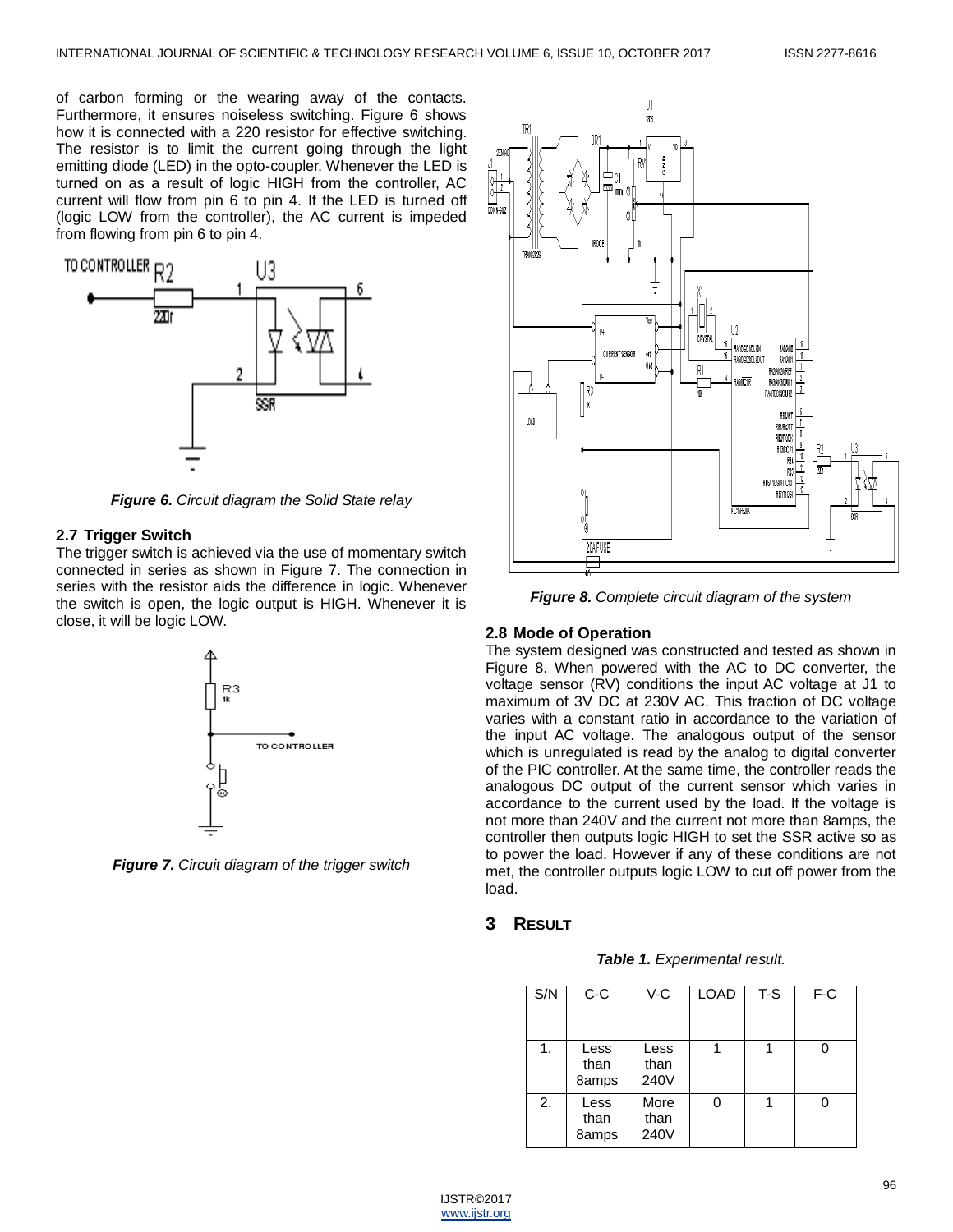of carbon forming or the wearing away of the contacts. Furthermore, it ensures noiseless switching. Figure 6 shows how it is connected with a 220 resistor for effective switching. The resistor is to limit the current going through the light emitting diode (LED) in the opto-coupler. Whenever the LED is turned on as a result of logic HIGH from the controller, AC current will flow from pin 6 to pin 4. If the LED is turned off (logic LOW from the controller), the AC current is impeded from flowing from pin 6 to pin 4.



*Figure 6. Circuit diagram the Solid State relay*

#### **2.7 Trigger Switch**

The trigger switch is achieved via the use of momentary switch connected in series as shown in Figure 7. The connection in series with the resistor aids the difference in logic. Whenever the switch is open, the logic output is HIGH. Whenever it is close, it will be logic LOW.



*Figure 7. Circuit diagram of the trigger switch*



*Figure 8. Complete circuit diagram of the system*

## **2.8 Mode of Operation**

The system designed was constructed and tested as shown in Figure 8. When powered with the AC to DC converter, the voltage sensor (RV) conditions the input AC voltage at J1 to maximum of 3V DC at 230V AC. This fraction of DC voltage varies with a constant ratio in accordance to the variation of the input AC voltage. The analogous output of the sensor which is unregulated is read by the analog to digital converter of the PIC controller. At the same time, the controller reads the analogous DC output of the current sensor which varies in accordance to the current used by the load. If the voltage is not more than 240V and the current not more than 8amps, the controller then outputs logic HIGH to set the SSR active so as to power the load. However if any of these conditions are not met, the controller outputs logic LOW to cut off power from the load.

## **3 RESULT**

| Table 1. Experimental result. |  |
|-------------------------------|--|
|-------------------------------|--|

| S/N | $C-C$                 | V-C                  | <b>LOAD</b> | $T-S$ | F-C |
|-----|-----------------------|----------------------|-------------|-------|-----|
| 1.  | Less<br>than<br>8amps | Less<br>than<br>240V |             |       |     |
| 2.  | Less<br>than<br>8amps | More<br>than<br>240V | 0           |       |     |